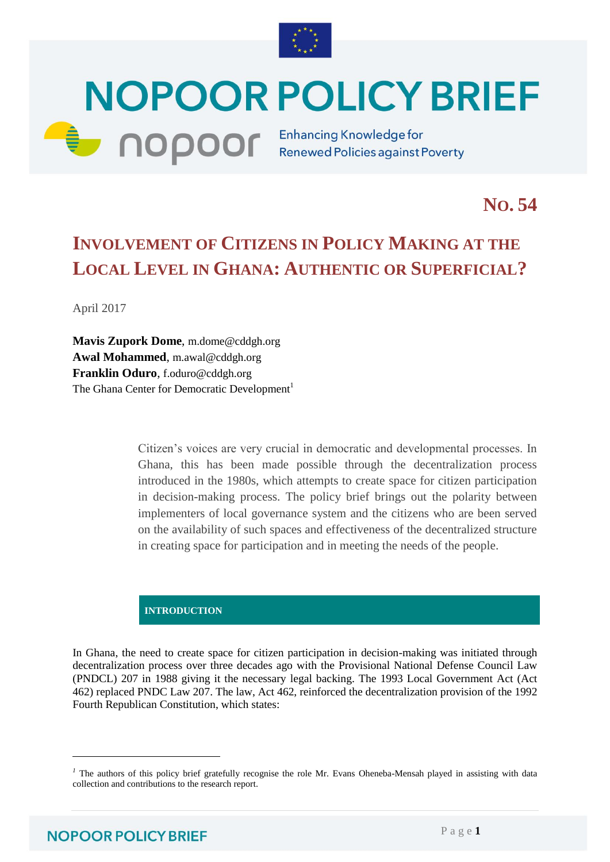

# **NOPOOR POLICY BRIEF COPOOF** Enhancing Knowledge for

**NO. 54**

# **INVOLVEMENT OF CITIZENS IN POLICY MAKING AT THE LOCAL LEVEL IN GHANA: AUTHENTIC OR SUPERFICIAL?**

April 2017

**Mavis Zupork Dome**, [m.dome@cddgh.org](mailto:m.dome@cddgh.org) **Awal Mohammed**, [m.awal@cddgh.org](mailto:m.awal@cddgh.org) **Franklin Oduro**, [f.oduro@cddgh.org](mailto:f.oduro@cddgh.org) The Ghana Center for Democratic Development<sup>1</sup>

> Citizen's voices are very crucial in democratic and developmental processes. In Ghana, this has been made possible through the decentralization process introduced in the 1980s, which attempts to create space for citizen participation in decision-making process. The policy brief brings out the polarity between implementers of local governance system and the citizens who are been served on the availability of such spaces and effectiveness of the decentralized structure in creating space for participation and in meeting the needs of the people.

## **INTRODUCTION**

In Ghana, the need to create space for citizen participation in decision-making was initiated through decentralization process over three decades ago with the Provisional National Defense Council Law (PNDCL) 207 in 1988 giving it the necessary legal backing. The 1993 Local Government Act (Act 462) replaced PNDC Law 207. The law, Act 462, reinforced the decentralization provision of the 1992 Fourth Republican Constitution, which states:

l

<sup>&</sup>lt;sup>1</sup> The authors of this policy brief gratefully recognise the role Mr. Evans Oheneba-Mensah played in assisting with data collection and contributions to the research report.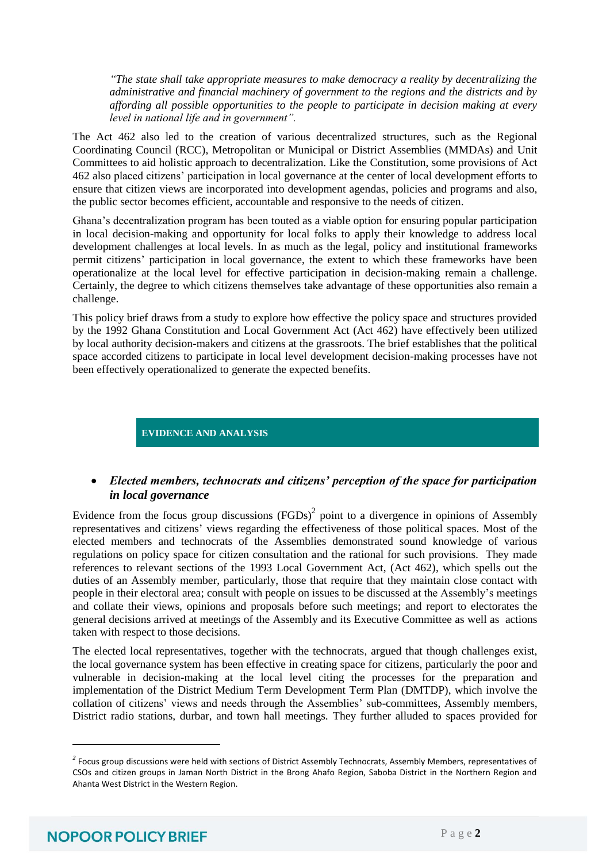*"The state shall take appropriate measures to make democracy a reality by decentralizing the administrative and financial machinery of government to the regions and the districts and by affording all possible opportunities to the people to participate in decision making at every level in national life and in government".* 

The Act 462 also led to the creation of various decentralized structures, such as the Regional Coordinating Council (RCC), Metropolitan or Municipal or District Assemblies (MMDAs) and Unit Committees to aid holistic approach to decentralization. Like the Constitution, some provisions of Act 462 also placed citizens' participation in local governance at the center of local development efforts to ensure that citizen views are incorporated into development agendas, policies and programs and also, the public sector becomes efficient, accountable and responsive to the needs of citizen.

Ghana's decentralization program has been touted as a viable option for ensuring popular participation in local decision-making and opportunity for local folks to apply their knowledge to address local development challenges at local levels. In as much as the legal, policy and institutional frameworks permit citizens' participation in local governance, the extent to which these frameworks have been operationalize at the local level for effective participation in decision-making remain a challenge. Certainly, the degree to which citizens themselves take advantage of these opportunities also remain a challenge.

This policy brief draws from a study to explore how effective the policy space and structures provided by the 1992 Ghana Constitution and Local Government Act (Act 462) have effectively been utilized by local authority decision-makers and citizens at the grassroots. The brief establishes that the political space accorded citizens to participate in local level development decision-making processes have not been effectively operationalized to generate the expected benefits.

#### **EVIDENCE AND ANALYSIS**

### *Elected members, technocrats and citizens' perception of the space for participation in local governance*

Evidence from the focus group discussions  $(FGDs)^2$  point to a divergence in opinions of Assembly representatives and citizens' views regarding the effectiveness of those political spaces. Most of the elected members and technocrats of the Assemblies demonstrated sound knowledge of various regulations on policy space for citizen consultation and the rational for such provisions. They made references to relevant sections of the 1993 Local Government Act, (Act 462), which spells out the duties of an Assembly member, particularly, those that require that they maintain close contact with people in their electoral area; consult with people on issues to be discussed at the Assembly's meetings and collate their views, opinions and proposals before such meetings; and report to electorates the general decisions arrived at meetings of the Assembly and its Executive Committee as well as actions taken with respect to those decisions.

The elected local representatives, together with the technocrats, argued that though challenges exist, the local governance system has been effective in creating space for citizens, particularly the poor and vulnerable in decision-making at the local level citing the processes for the preparation and implementation of the District Medium Term Development Term Plan (DMTDP), which involve the collation of citizens' views and needs through the Assemblies' sub-committees, Assembly members, District radio stations, durbar, and town hall meetings. They further alluded to spaces provided for

l

*<sup>2</sup>* Focus group discussions were held with sections of District Assembly Technocrats, Assembly Members, representatives of CSOs and citizen groups in Jaman North District in the Brong Ahafo Region, Saboba District in the Northern Region and Ahanta West District in the Western Region.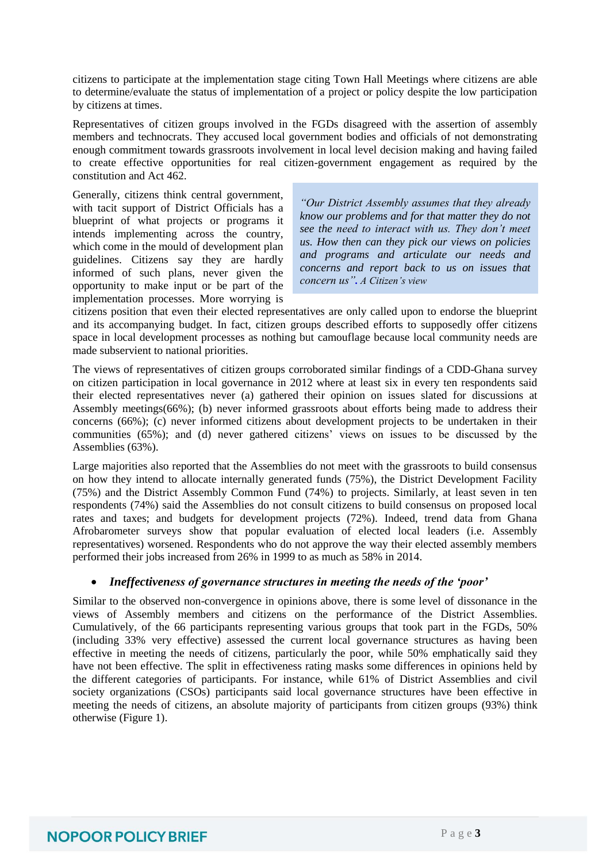citizens to participate at the implementation stage citing Town Hall Meetings where citizens are able to determine/evaluate the status of implementation of a project or policy despite the low participation by citizens at times.

Representatives of citizen groups involved in the FGDs disagreed with the assertion of assembly members and technocrats. They accused local government bodies and officials of not demonstrating enough commitment towards grassroots involvement in local level decision making and having failed to create effective opportunities for real citizen-government engagement as required by the constitution and Act 462.

Generally, citizens think central government, with tacit support of District Officials has a blueprint of what projects or programs it intends implementing across the country, which come in the mould of development plan guidelines. Citizens say they are hardly informed of such plans, never given the opportunity to make input or be part of the implementation processes. More worrying is

*"Our District Assembly assumes that they already know our problems and for that matter they do not see the need to interact with us. They don't meet us. How then can they pick our views on policies and programs and articulate our needs and concerns and report back to us on issues that concern us". A Citizen's view*

citizens position that even their elected representatives are only called upon to endorse the blueprint and its accompanying budget. In fact, citizen groups described efforts to supposedly offer citizens space in local development processes as nothing but camouflage because local community needs are made subservient to national priorities.

The views of representatives of citizen groups corroborated similar findings of a CDD-Ghana survey on citizen participation in local governance in 2012 where at least six in every ten respondents said their elected representatives never (a) gathered their opinion on issues slated for discussions at Assembly meetings(66%); (b) never informed grassroots about efforts being made to address their concerns (66%); (c) never informed citizens about development projects to be undertaken in their communities (65%); and (d) never gathered citizens' views on issues to be discussed by the Assemblies (63%).

Large majorities also reported that the Assemblies do not meet with the grassroots to build consensus on how they intend to allocate internally generated funds (75%), the District Development Facility (75%) and the District Assembly Common Fund (74%) to projects. Similarly, at least seven in ten respondents (74%) said the Assemblies do not consult citizens to build consensus on proposed local rates and taxes; and budgets for development projects (72%). Indeed, trend data from Ghana Afrobarometer surveys show that popular evaluation of elected local leaders (i.e. Assembly representatives) worsened. Respondents who do not approve the way their elected assembly members performed their jobs increased from 26% in 1999 to as much as 58% in 2014.

#### *Ineffectiveness of governance structures in meeting the needs of the 'poor'*

Similar to the observed non-convergence in opinions above, there is some level of dissonance in the views of Assembly members and citizens on the performance of the District Assemblies. Cumulatively, of the 66 participants representing various groups that took part in the FGDs, 50% (including 33% very effective) assessed the current local governance structures as having been effective in meeting the needs of citizens, particularly the poor, while 50% emphatically said they have not been effective. The split in effectiveness rating masks some differences in opinions held by the different categories of participants. For instance, while 61% of District Assemblies and civil society organizations (CSOs) participants said local governance structures have been effective in meeting the needs of citizens, an absolute majority of participants from citizen groups (93%) think otherwise (Figure 1).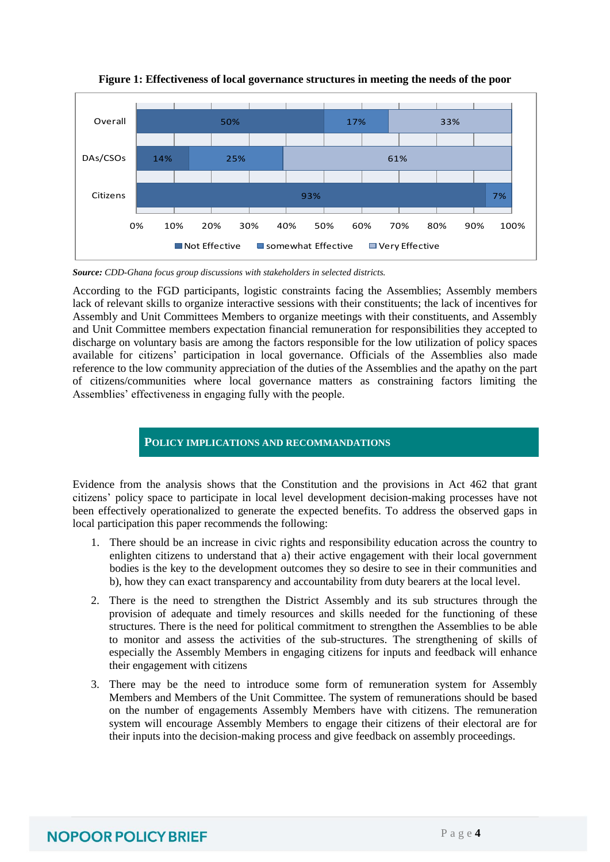

**Figure 1: Effectiveness of local governance structures in meeting the needs of the poor**

*Source: CDD-Ghana focus group discussions with stakeholders in selected districts.*

According to the FGD participants, logistic constraints facing the Assemblies; Assembly members lack of relevant skills to organize interactive sessions with their constituents; the lack of incentives for Assembly and Unit Committees Members to organize meetings with their constituents, and Assembly and Unit Committee members expectation financial remuneration for responsibilities they accepted to discharge on voluntary basis are among the factors responsible for the low utilization of policy spaces available for citizens' participation in local governance. Officials of the Assemblies also made reference to the low community appreciation of the duties of the Assemblies and the apathy on the part of citizens/communities where local governance matters as constraining factors limiting the Assemblies' effectiveness in engaging fully with the people.

### **POLICY IMPLICATIONS AND RECOMMANDATIONS**

Evidence from the analysis shows that the Constitution and the provisions in Act 462 that grant citizens' policy space to participate in local level development decision-making processes have not been effectively operationalized to generate the expected benefits. To address the observed gaps in local participation this paper recommends the following:

- 1. There should be an increase in civic rights and responsibility education across the country to enlighten citizens to understand that a) their active engagement with their local government bodies is the key to the development outcomes they so desire to see in their communities and b), how they can exact transparency and accountability from duty bearers at the local level.
- 2. There is the need to strengthen the District Assembly and its sub structures through the provision of adequate and timely resources and skills needed for the functioning of these structures. There is the need for political commitment to strengthen the Assemblies to be able to monitor and assess the activities of the sub-structures. The strengthening of skills of especially the Assembly Members in engaging citizens for inputs and feedback will enhance their engagement with citizens
- 3. There may be the need to introduce some form of remuneration system for Assembly Members and Members of the Unit Committee. The system of remunerations should be based on the number of engagements Assembly Members have with citizens. The remuneration system will encourage Assembly Members to engage their citizens of their electoral are for their inputs into the decision-making process and give feedback on assembly proceedings.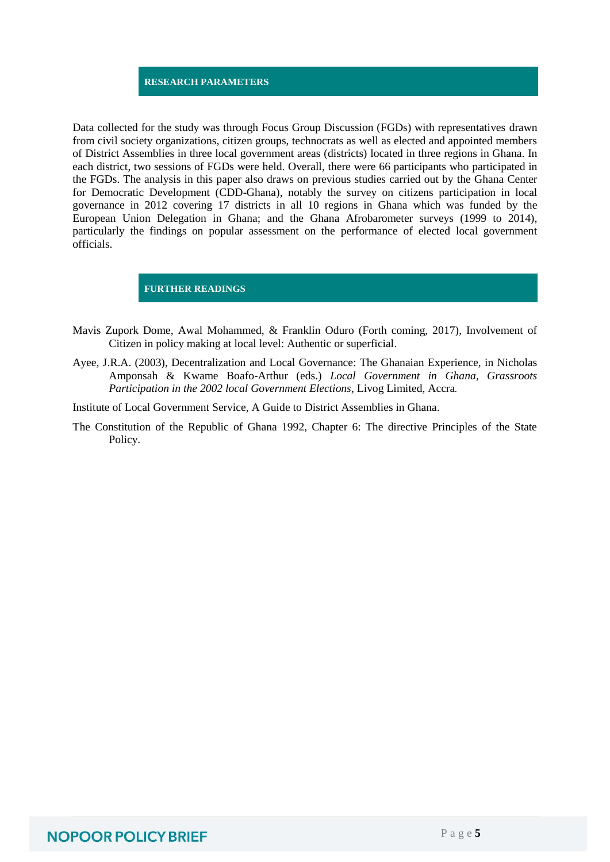#### **RESEARCH PARAMETERS**

Data collected for the study was through Focus Group Discussion (FGDs) with representatives drawn from civil society organizations, citizen groups, technocrats as well as elected and appointed members of District Assemblies in three local government areas (districts) located in three regions in Ghana. In each district, two sessions of FGDs were held. Overall, there were 66 participants who participated in the FGDs. The analysis in this paper also draws on previous studies carried out by the Ghana Center for Democratic Development (CDD-Ghana), notably the survey on citizens participation in local governance in 2012 covering 17 districts in all 10 regions in Ghana which was funded by the European Union Delegation in Ghana; and the Ghana Afrobarometer surveys (1999 to 2014), particularly the findings on popular assessment on the performance of elected local government officials.

**FURTHER READINGS**

- Mavis Zupork Dome, Awal Mohammed, & Franklin Oduro (Forth coming, 2017), Involvement of Citizen in policy making at local level: Authentic or superficial.
- Ayee, J.R.A. (2003), Decentralization and Local Governance: The Ghanaian Experience, in Nicholas Amponsah & Kwame Boafo-Arthur (eds.) *Local Government in Ghana, Grassroots Participation in the 2002 local Government Elections*, Livog Limited, Accra*.*
- Institute of Local Government Service, A Guide to District Assemblies in Ghana.
- The Constitution of the Republic of Ghana 1992, Chapter 6: The directive Principles of the State Policy.